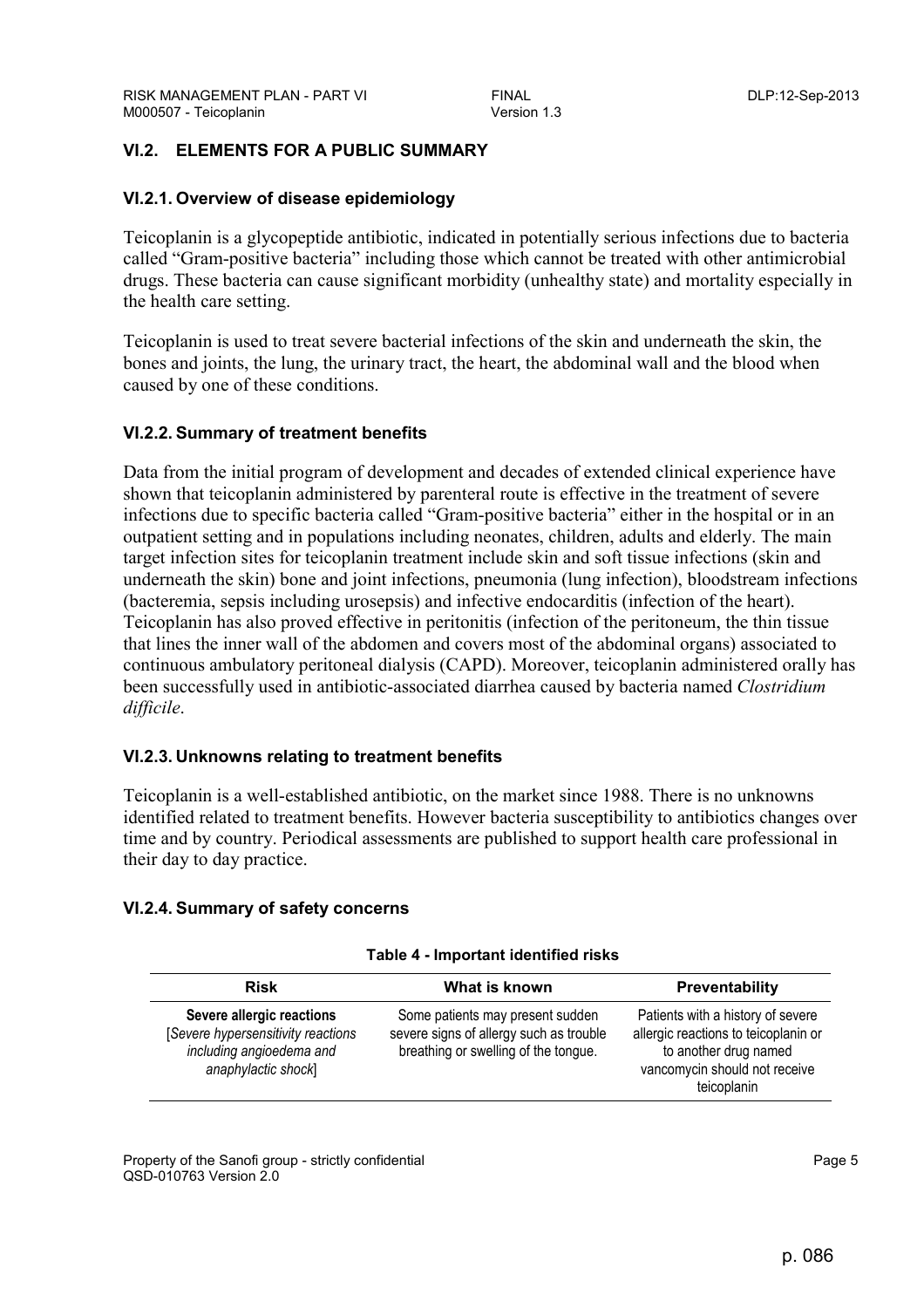# **VI.2. ELEMENTS FOR A PUBLIC SUMMARY**

## **VI.2.1. Overview of disease epidemiology**

Teicoplanin is a glycopeptide antibiotic, indicated in potentially serious infections due to bacteria called "Gram-positive bacteria" including those which cannot be treated with other antimicrobial drugs. These bacteria can cause significant morbidity (unhealthy state) and mortality especially in the health care setting.

Teicoplanin is used to treat severe bacterial infections of the skin and underneath the skin, the bones and joints, the lung, the urinary tract, the heart, the abdominal wall and the blood when caused by one of these conditions.

## **VI.2.2. Summary of treatment benefits**

Data from the initial program of development and decades of extended clinical experience have shown that teicoplanin administered by parenteral route is effective in the treatment of severe infections due to specific bacteria called "Gram-positive bacteria" either in the hospital or in an outpatient setting and in populations including neonates, children, adults and elderly. The main target infection sites for teicoplanin treatment include skin and soft tissue infections (skin and underneath the skin) bone and joint infections, pneumonia (lung infection), bloodstream infections (bacteremia, sepsis including urosepsis) and infective endocarditis (infection of the heart). Teicoplanin has also proved effective in peritonitis (infection of the peritoneum, the thin tissue that lines the inner wall of the abdomen and covers most of the abdominal organs) associated to continuous ambulatory peritoneal dialysis (CAPD). Moreover, teicoplanin administered orally has been successfully used in antibiotic-associated diarrhea caused by bacteria named *Clostridium difficile*.

## **VI.2.3. Unknowns relating to treatment benefits**

Teicoplanin is a well-established antibiotic, on the market since 1988. There is no unknowns identified related to treatment benefits. However bacteria susceptibility to antibiotics changes over time and by country. Periodical assessments are published to support health care professional in their day to day practice.

## **VI.2.4. Summary of safety concerns**

| Table 4 - Important identified risks |  |
|--------------------------------------|--|
|                                      |  |

| <b>Risk</b>                                                                                                         | What is known                                                                                                       | <b>Preventability</b>                                                                                                                              |
|---------------------------------------------------------------------------------------------------------------------|---------------------------------------------------------------------------------------------------------------------|----------------------------------------------------------------------------------------------------------------------------------------------------|
| Severe allergic reactions<br>[Severe hypersensitivity reactions]<br>including angioedema and<br>anaphylactic shock] | Some patients may present sudden<br>severe signs of allergy such as trouble<br>breathing or swelling of the tongue. | Patients with a history of severe<br>allergic reactions to teicoplanin or<br>to another drug named<br>vancomycin should not receive<br>teicoplanin |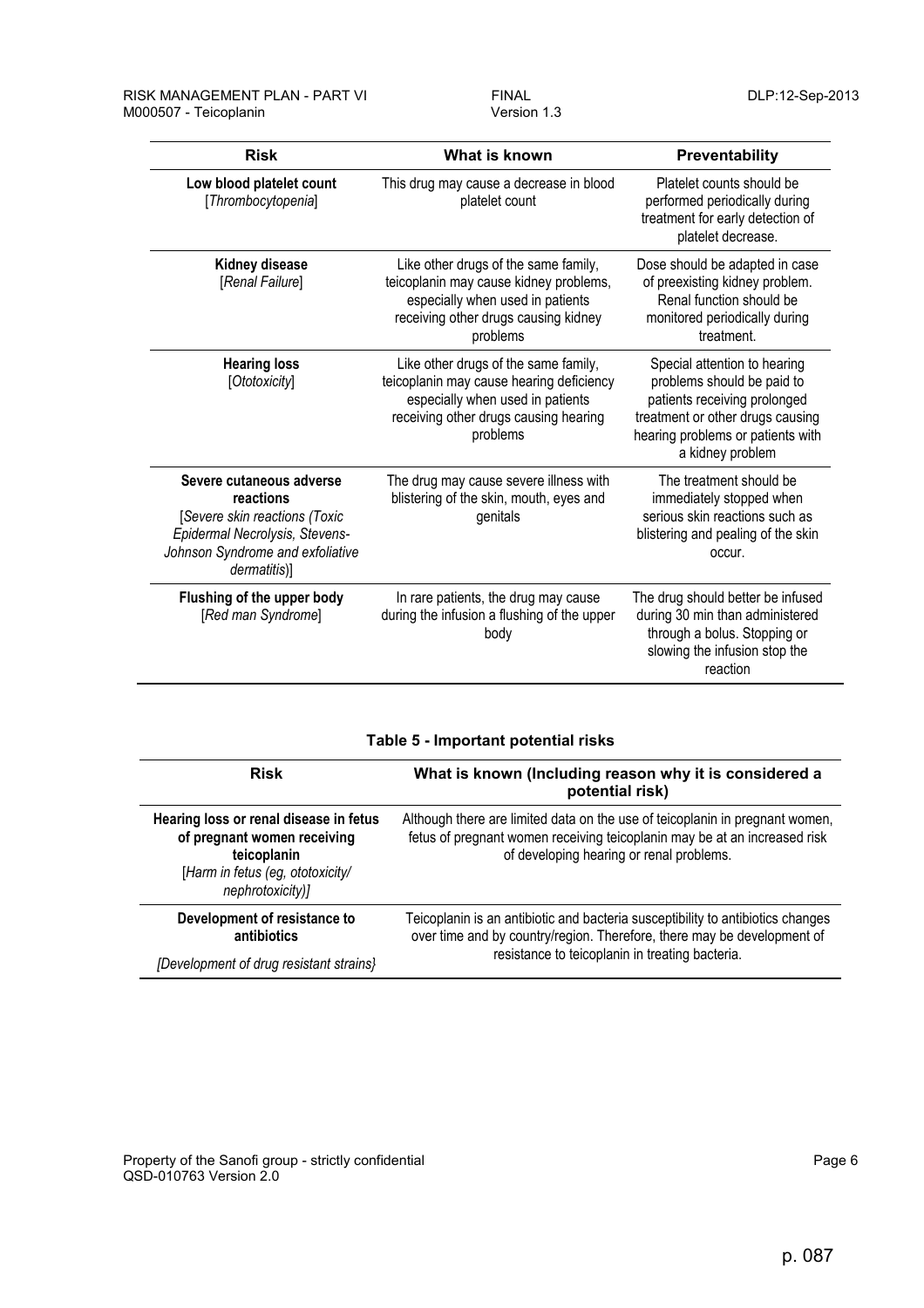| <b>Risk</b>                                                                                                                                                  | What is known                                                                                                                                                             | Preventability                                                                                                                                                                          |
|--------------------------------------------------------------------------------------------------------------------------------------------------------------|---------------------------------------------------------------------------------------------------------------------------------------------------------------------------|-----------------------------------------------------------------------------------------------------------------------------------------------------------------------------------------|
| Low blood platelet count<br>[Thrombocytopenia]                                                                                                               | This drug may cause a decrease in blood<br>platelet count                                                                                                                 | Platelet counts should be<br>performed periodically during<br>treatment for early detection of<br>platelet decrease.                                                                    |
| Kidney disease<br>[Renal Failure]                                                                                                                            | Like other drugs of the same family,<br>teicoplanin may cause kidney problems,<br>especially when used in patients<br>receiving other drugs causing kidney<br>problems    | Dose should be adapted in case<br>of preexisting kidney problem.<br>Renal function should be<br>monitored periodically during<br>treatment.                                             |
| <b>Hearing loss</b><br>[Ototoxicity]                                                                                                                         | Like other drugs of the same family,<br>teicoplanin may cause hearing deficiency<br>especially when used in patients<br>receiving other drugs causing hearing<br>problems | Special attention to hearing<br>problems should be paid to<br>patients receiving prolonged<br>treatment or other drugs causing<br>hearing problems or patients with<br>a kidney problem |
| Severe cutaneous adverse<br>reactions<br>[Severe skin reactions (Toxic<br>Epidermal Necrolysis, Stevens-<br>Johnson Syndrome and exfoliative<br>dermatitis)] | The drug may cause severe illness with<br>blistering of the skin, mouth, eyes and<br>genitals                                                                             | The treatment should be<br>immediately stopped when<br>serious skin reactions such as<br>blistering and pealing of the skin<br>occur.                                                   |
| Flushing of the upper body<br>[Red man Syndrome]                                                                                                             | In rare patients, the drug may cause<br>during the infusion a flushing of the upper<br>body                                                                               | The drug should better be infused<br>during 30 min than administered<br>through a bolus. Stopping or<br>slowing the infusion stop the<br>reaction                                       |

### **Table 5 - Important potential risks**

| <b>Risk</b>                                                                                                                                  | What is known (Including reason why it is considered a<br>potential risk)                                                                                                                                     |  |
|----------------------------------------------------------------------------------------------------------------------------------------------|---------------------------------------------------------------------------------------------------------------------------------------------------------------------------------------------------------------|--|
| Hearing loss or renal disease in fetus<br>of pregnant women receiving<br>teicoplanin<br>[Harm in fetus (eg, ototoxicity/<br>nephrotoxicity)] | Although there are limited data on the use of teicoplanin in pregnant women,<br>fetus of pregnant women receiving teicoplanin may be at an increased risk<br>of developing hearing or renal problems.         |  |
| Development of resistance to<br>antibiotics<br>[Development of drug resistant strains]                                                       | Teicoplanin is an antibiotic and bacteria susceptibility to antibiotics changes<br>over time and by country/region. Therefore, there may be development of<br>resistance to teicoplanin in treating bacteria. |  |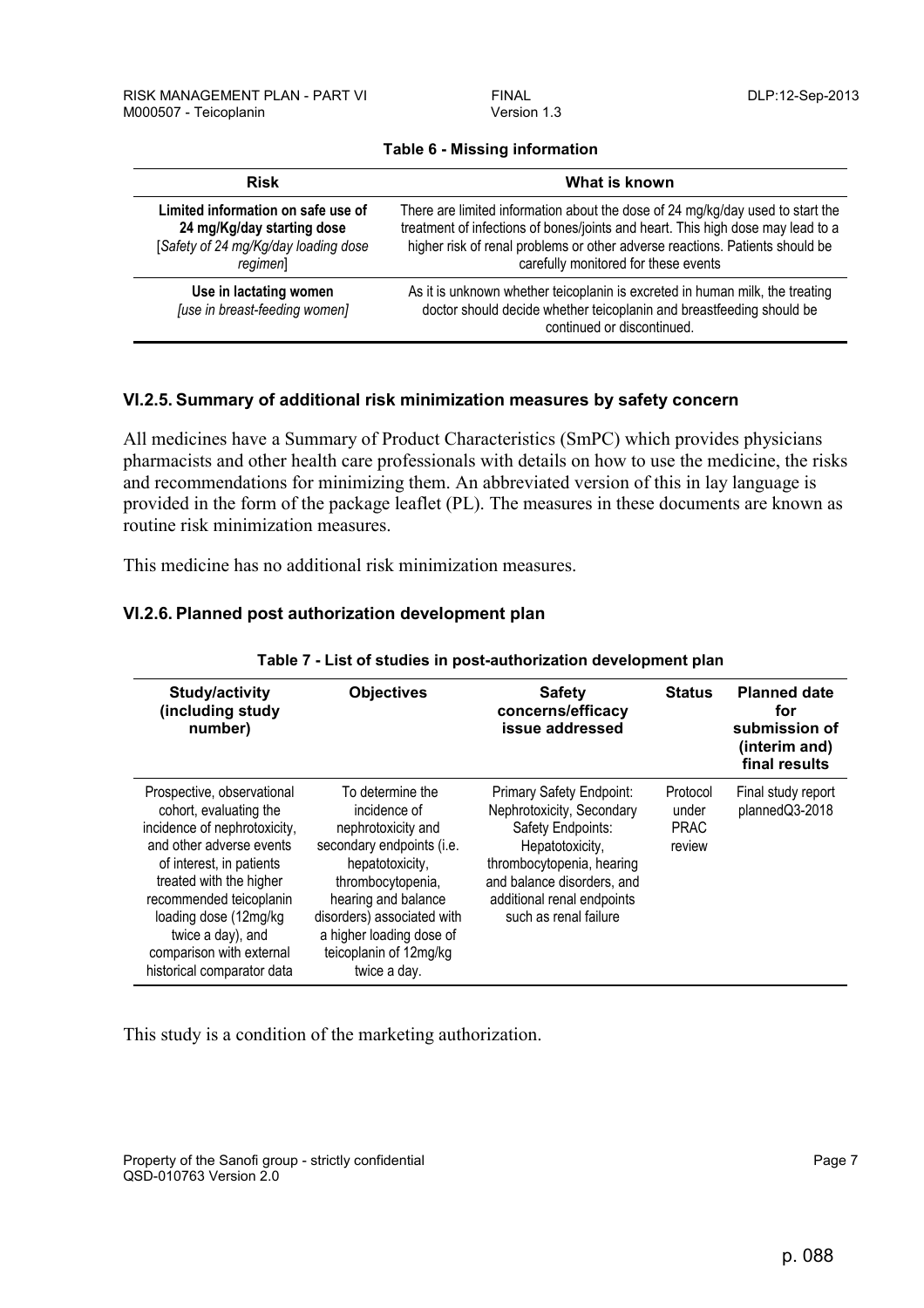| <b>Risk</b>                                                                                                          | What is known                                                                                                                                                                                                                                                                             |  |
|----------------------------------------------------------------------------------------------------------------------|-------------------------------------------------------------------------------------------------------------------------------------------------------------------------------------------------------------------------------------------------------------------------------------------|--|
| Limited information on safe use of<br>24 mg/Kg/day starting dose<br>[Safety of 24 mg/Kg/day loading dose<br>regimen] | There are limited information about the dose of 24 mg/kg/day used to start the<br>treatment of infections of bones/joints and heart. This high dose may lead to a<br>higher risk of renal problems or other adverse reactions. Patients should be<br>carefully monitored for these events |  |
| Use in lactating women<br>[use in breast-feeding women]                                                              | As it is unknown whether teicoplanin is excreted in human milk, the treating<br>doctor should decide whether teicoplanin and breastfeeding should be<br>continued or discontinued.                                                                                                        |  |

### **Table 6 - Missing information**

## **VI.2.5. Summary of additional risk minimization measures by safety concern**

All medicines have a Summary of Product Characteristics (SmPC) which provides physicians pharmacists and other health care professionals with details on how to use the medicine, the risks and recommendations for minimizing them. An abbreviated version of this in lay language is provided in the form of the package leaflet (PL). The measures in these documents are known as routine risk minimization measures.

This medicine has no additional risk minimization measures.

### **VI.2.6. Planned post authorization development plan**

| Study/activity<br>(including study<br>number)                                                                                                                                                                                                                                                              | <b>Objectives</b>                                                                                                                                                                                                                                      | <b>Safety</b><br>concerns/efficacy<br>issue addressed                                                                                                                                                           | <b>Status</b>                              | <b>Planned date</b><br>for<br>submission of<br>(interim and)<br>final results |
|------------------------------------------------------------------------------------------------------------------------------------------------------------------------------------------------------------------------------------------------------------------------------------------------------------|--------------------------------------------------------------------------------------------------------------------------------------------------------------------------------------------------------------------------------------------------------|-----------------------------------------------------------------------------------------------------------------------------------------------------------------------------------------------------------------|--------------------------------------------|-------------------------------------------------------------------------------|
| Prospective, observational<br>cohort, evaluating the<br>incidence of nephrotoxicity,<br>and other adverse events<br>of interest, in patients<br>treated with the higher<br>recommended teicoplanin<br>loading dose (12mg/kg<br>twice a day), and<br>comparison with external<br>historical comparator data | To determine the<br>incidence of<br>nephrotoxicity and<br>secondary endpoints (i.e.<br>hepatotoxicity,<br>thrombocytopenia,<br>hearing and balance<br>disorders) associated with<br>a higher loading dose of<br>teicoplanin of 12mg/kg<br>twice a day. | Primary Safety Endpoint:<br>Nephrotoxicity, Secondary<br>Safety Endpoints:<br>Hepatotoxicity,<br>thrombocytopenia, hearing<br>and balance disorders, and<br>additional renal endpoints<br>such as renal failure | Protocol<br>under<br><b>PRAC</b><br>review | Final study report<br>plannedQ3-2018                                          |

#### **Table 7 - List of studies in post-authorization development plan**

This study is a condition of the marketing authorization.

Property of the Sanofi group - strictly confidential Page 7 and 2008 and 2008 and 2008 and 2008 and 2008 and 2008 and 2008 and 2008 and 2008 and 2008 and 2008 and 2008 and 2008 and 2008 and 2008 and 2008 and 2008 and 2008 QSD-010763 Version 2.0